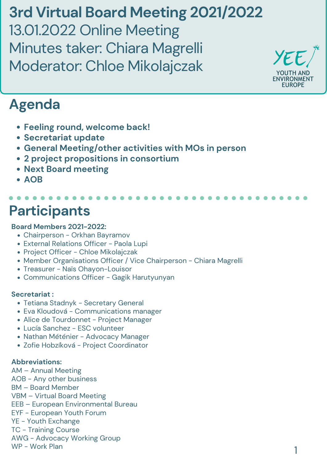- Tetiana Stadnyk Secretary General
- Eva Kloudová Communications manager
- Alice de Tourdonnet Project Manager
- Lucía Sanchez ESC volunteer
- Nathan Méténier Advocacy Manager
- Zofie Hobzíková Project Coordinator

#### **Board Members 2021-2022:**

- Chairperson Orkhan Bayramov
- External Relations Officer Paola Lupi
- Project Officer Chloe Mikolajczak
- Member Organisations Officer / Vice Chairperson Chiara Magrelli
- Treasurer Naïs Ohayon-Louisor
- Communications Officer Gagik Harutyunyan

#### **Secretariat :**

#### **Abbreviations:**

AM – Annual Meeting AOB - Any other business BM – Board Member VBM – Virtual Board Meeting EEB – European Environmental Bureau EYF - European Youth Forum YE - Youth Exchange TC - Training Course AWG - Advocacy Working Group WP - Work Plan

# **Participants**

**3rd Virtual Board Meeting 2021/2022** 13.01.2022 Online Meeting Minutes taker: Chiara Magrelli Moderator: Chloe Mikolajczak



# **Agenda**

- **Feeling round, welcome back!**
- **Secretariat update**
- **General Meeting/other activities with MOs in person**
- **2 project propositions in consortium**
- **Next Board meeting**
- **AOB**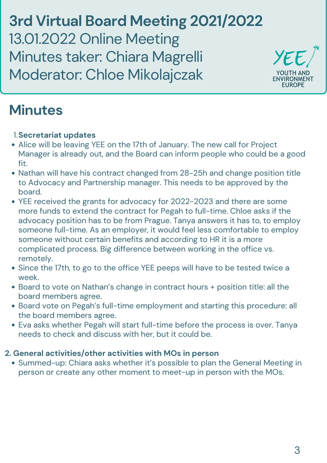**3rd Virtual Board Meeting 2021/2022** 13.01.2022 Online Meeting Minutes taker: Chiara Magrelli Moderator: Chloe Mikolajczak



# **Minutes**

### **1. Secretariat updates**

• Summed-up: Chiara asks whether it's possible to plan the General Meeting in person or create any other moment to meet-up in person with the MOs.

- Alice will be leaving YEE on the 17th of January. The new call for Project Manager is already out, and the Board can inform people who could be a good fit.
- Nathan will have his contract changed from 28-25h and change position title to Advocacy and Partnership manager. This needs to be approved by the board.
- YEE received the grants for advocacy for 2022-2023 and there are some more funds to extend the contract for Pegah to full-time. Chloe asks if the advocacy position has to be from Prague. Tanya answers it has to, to employ someone full-time. As an employer, it would feel less comfortable to employ someone without certain benefits and according to HR it is a more complicated process. Big difference between working in the office vs. remotely. • Since the 17th, to go to the office YEE peeps will have to be tested twice a week. Board to vote on Nathan's change in contract hours + position title: all the board members agree. • Board vote on Pegah's full-time employment and starting this procedure: all the board members agree. Eva asks whether Pegah will start full-time before the process is over. Tanya needs to check and discuss with her, but it could be.

## **2. General activities/other activities with MOs in person**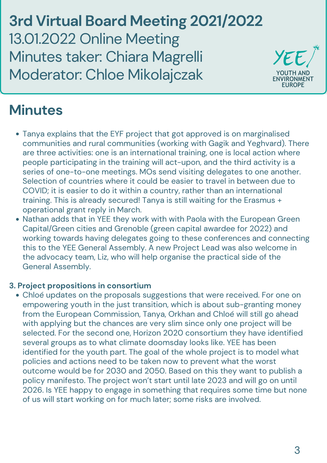**3rd Virtual Board Meeting 2021/2022** 13.01.2022 Online Meeting Minutes taker: Chiara Magrelli Moderator: Chloe Mikolajczak



# **Minutes**

- Tanya explains that the EYF project that got approved is on marginalised communities and rural communities (working with Gagik and Yeghvard). There are three activities: one is an international training, one is local action where people participating in the training will act-upon, and the third activity is a series of one-to-one meetings. MOs send visiting delegates to one another. Selection of countries where it could be easier to travel in between due to COVID; it is easier to do it within a country, rather than an international training. This is already secured! Tanya is still waiting for the Erasmus + operational grant reply in March.
- Nathan adds that in YEE they work with with Paola with the European Green Capital/Green cities and Grenoble (green capital awardee for 2022) and working towards having delegates going to these conferences and connecting this to the YEE General Assembly. A new Project Lead was also welcome in

the advocacy team, Liz, who will help organise the practical side of the General Assembly.

Chloé updates on the proposals suggestions that were received. For one on empowering youth in the just transition, which is about sub-granting money from the European Commission, Tanya, Orkhan and Chloé will still go ahead with applying but the chances are very slim since only one project will be selected. For the second one, Horizon 2020 consortium they have identified several groups as to what climate doomsday looks like. YEE has been identified for the youth part. The goal of the whole project is to model what policies and actions need to be taken now to prevent what the worst outcome would be for 2030 and 2050. Based on this they want to publish a policy manifesto. The project won't start until late 2023 and will go on until 2026. Is YEE happy to engage in something that requires some time but none of us will start working on for much later; some risks are involved.

#### **3. Project propositions in consortium**